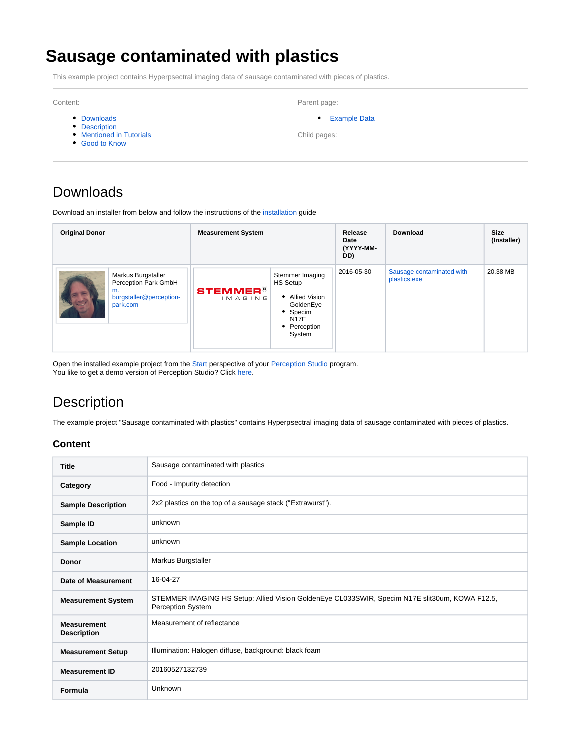# **Sausage contaminated with plastics**

This example project contains Hyperpsectral imaging data of sausage contaminated with pieces of plastics.

Content:

- [Downloads](#page-0-0)
- [Description](#page-0-1)
- [Mentioned in Tutorials](#page-1-0)
- [Good to Know](#page-1-1)

Parent page:

[Example Data](https://wiki.perception-park.com/display/DOW/Example+Data)

Child pages:

# <span id="page-0-0"></span>Downloads

Download an installer from below and follow the instructions of the [installation](https://wiki.perception-park.com/display/MAN/The+Perception+Studio+Program#ThePerceptionStudioProgram-Installation) guide

| <b>Original Donor</b>                                                                   | <b>Measurement System</b>  |                                                                                                                  | Release<br>Date<br>(YYYY-MM-<br>DD) | Download                                  | <b>Size</b><br>(Installer) |
|-----------------------------------------------------------------------------------------|----------------------------|------------------------------------------------------------------------------------------------------------------|-------------------------------------|-------------------------------------------|----------------------------|
| Markus Burgstaller<br>Perception Park GmbH<br>m.<br>burgstaller@perception-<br>park.com | <b>STEMMER®</b><br>IMAGING | Stemmer Imaging<br><b>HS Setup</b><br>• Allied Vision<br>GoldenEye<br>• Specim<br>N17E<br>• Perception<br>System | 2016-05-30                          | Sausage contaminated with<br>plastics.exe | 20.38 MB                   |

Open the installed example project from the [Start](https://wiki.perception-park.com/display/MAN/Start+a+Project) perspective of your [Perception Studio](https://wiki.perception-park.com/display/MAN/The+Perception+Studio+Program) program. You like to get a demo version of Perception Studio? Click [here.](https://wiki.perception-park.com/pages/viewpage.action?pageId=1508903)

# <span id="page-0-1"></span>**Description**

The example project "Sausage contaminated with plastics" contains Hyperpsectral imaging data of sausage contaminated with pieces of plastics.

#### **Content**

| <b>Title</b>                             | Sausage contaminated with plastics                                                                                         |
|------------------------------------------|----------------------------------------------------------------------------------------------------------------------------|
| Category                                 | Food - Impurity detection                                                                                                  |
| <b>Sample Description</b>                | 2x2 plastics on the top of a sausage stack ("Extrawurst").                                                                 |
| Sample ID                                | unknown                                                                                                                    |
| <b>Sample Location</b>                   | unknown                                                                                                                    |
| <b>Donor</b>                             | Markus Burgstaller                                                                                                         |
| Date of Measurement                      | 16-04-27                                                                                                                   |
| <b>Measurement System</b>                | STEMMER IMAGING HS Setup: Allied Vision GoldenEye CL033SWIR, Specim N17E slit30um, KOWA F12.5,<br><b>Perception System</b> |
| <b>Measurement</b><br><b>Description</b> | Measurement of reflectance                                                                                                 |
| <b>Measurement Setup</b>                 | Illumination: Halogen diffuse, background: black foam                                                                      |
| <b>Measurement ID</b>                    | 20160527132739                                                                                                             |
| Formula                                  | Unknown                                                                                                                    |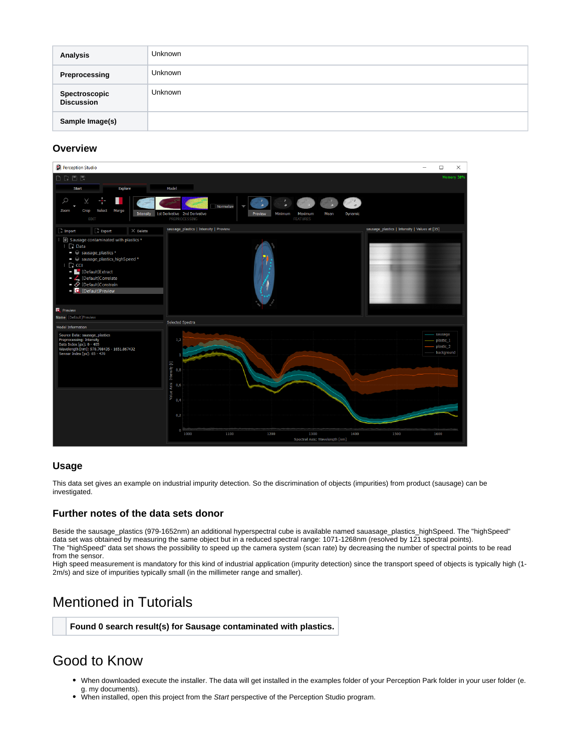| Analysis                           | <b>Unknown</b> |
|------------------------------------|----------------|
| Preprocessing                      | Unknown        |
| <b>Spectroscopic</b><br>Discussion | <b>Unknown</b> |
| Sample Image(s)                    |                |

#### **Overview**



#### **Usage**

This data set gives an example on industrial impurity detection. So the discrimination of objects (impurities) from product (sausage) can be investigated.

#### **Further notes of the data sets donor**

Beside the sausage\_plastics (979-1652nm) an additional hyperspectral cube is available named sauasage\_plastics\_highSpeed. The "highSpeed" data set was obtained by measuring the same object but in a reduced spectral range: 1071-1268nm (resolved by 121 spectral points). The "highSpeed" data set shows the possibility to speed up the camera system (scan rate) by decreasing the number of spectral points to be read from the sensor.

High speed measurement is mandatory for this kind of industrial application (impurity detection) since the transport speed of objects is typically high (1- 2m/s) and size of impurities typically small (in the millimeter range and smaller).

### <span id="page-1-0"></span>Mentioned in Tutorials

#### **Found 0 search result(s) for Sausage contaminated with plastics.**

### <span id="page-1-1"></span>Good to Know

- When downloaded execute the installer. The data will get installed in the examples folder of your Perception Park folder in your user folder (e. g. my documents).
- . When installed, open this project from the Start perspective of the Perception Studio program.